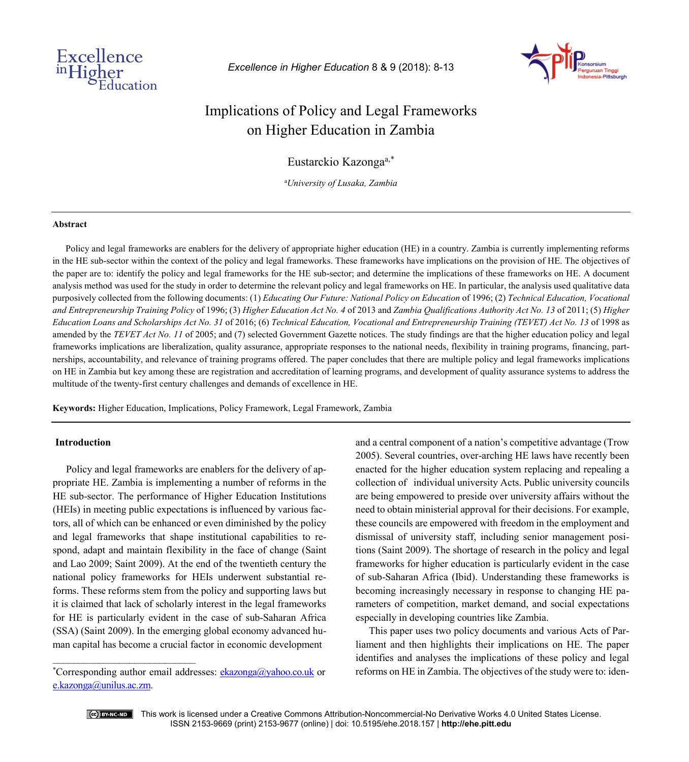

*Excellence in Higher Education* 8 & 9 (2018): 8-13



# Implications of Policy and Legal Frameworks on Higher Education in Zambia

Eustarckio Kazonga<sup>a,\*</sup>

a *University of Lusaka, Zambia*

#### **Abstract**

Policy and legal frameworks are enablers for the delivery of appropriate higher education (HE) in a country. Zambia is currently implementing reforms in the HE sub-sector within the context of the policy and legal frameworks. These frameworks have implications on the provision of HE. The objectives of the paper are to: identify the policy and legal frameworks for the HE sub-sector; and determine the implications of these frameworks on HE. A document analysis method was used for the study in order to determine the relevant policy and legal frameworks on HE. In particular, the analysis used qualitative data purposively collected from the following documents: (1) *Educating Our Future: National Policy on Education* of 1996; (2) *Technical Education, Vocational and Entrepreneurship Training Policy* of 1996; (3) *Higher Education Act No. 4* of 2013 and *Zambia Qualifications Authority Act No. 13* of 2011; (5) *Higher Education Loans and Scholarships Act No. 31* of 2016; (6) *Technical Education, Vocational and Entrepreneurship Training (TEVET) Act No. 13* of 1998 as amended by the *TEVET Act No. 11* of 2005; and (7) selected Government Gazette notices. The study findings are that the higher education policy and legal frameworks implications are liberalization, quality assurance, appropriate responses to the national needs, flexibility in training programs, financing, partnerships, accountability, and relevance of training programs offered. The paper concludes that there are multiple policy and legal frameworks implications on HE in Zambia but key among these are registration and accreditation of learning programs, and development of quality assurance systems to address the multitude of the twenty-first century challenges and demands of excellence in HE.

**Keywords:** Higher Education, Implications, Policy Framework, Legal Framework, Zambia

## **Introduction**

Policy and legal frameworks are enablers for the delivery of appropriate HE. Zambia is implementing a number of reforms in the HE sub-sector. The performance of Higher Education Institutions (HEIs) in meeting public expectations is influenced by various factors, all of which can be enhanced or even diminished by the policy and legal frameworks that shape institutional capabilities to respond, adapt and maintain flexibility in the face of change (Saint and Lao 2009; Saint 2009). At the end of the twentieth century the national policy frameworks for HEIs underwent substantial reforms. These reforms stem from the policy and supporting laws but it is claimed that lack of scholarly interest in the legal frameworks for HE is particularly evident in the case of sub-Saharan Africa (SSA) (Saint 2009). In the emerging global economy advanced human capital has become a crucial factor in economic development

and a central component of a nation's competitive advantage (Trow 2005). Several countries, over-arching HE laws have recently been enacted for the higher education system replacing and repealing a collection of individual university Acts. Public university councils are being empowered to preside over university affairs without the need to obtain ministerial approval for their decisions. For example, these councils are empowered with freedom in the employment and dismissal of university staff, including senior management positions (Saint 2009). The shortage of research in the policy and legal frameworks for higher education is particularly evident in the case of sub-Saharan Africa (Ibid). Understanding these frameworks is becoming increasingly necessary in response to changing HE parameters of competition, market demand, and social expectations especially in developing countries like Zambia.

This paper uses two policy documents and various Acts of Parliament and then highlights their implications on HE. The paper identifies and analyses the implications of these policy and legal reforms on HE in Zambia. The objectives of the study were to: iden-



 $\overline{\phantom{a}}$  , where  $\overline{\phantom{a}}$  , where  $\overline{\phantom{a}}$  , where  $\overline{\phantom{a}}$ 

<sup>\*</sup>Corresponding author email addresses: **[ekazonga@yahoo.co.uk](mailto:ekazonga@yahoo.co.uk)** or [e.kazonga@unilus.ac.zm.](mailto:e.kazonga@unilus.ac.zm)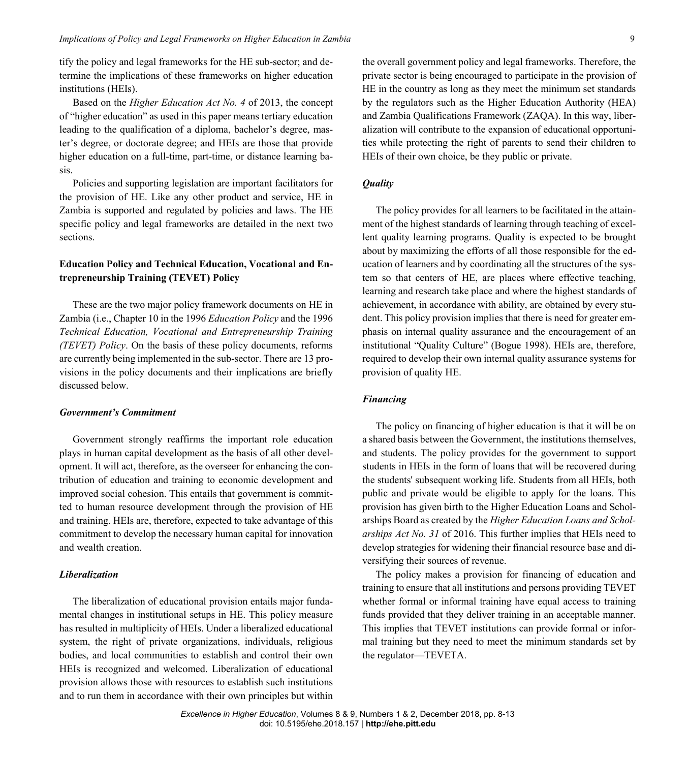tify the policy and legal frameworks for the HE sub-sector; and determine the implications of these frameworks on higher education institutions (HEIs).

Based on the *Higher Education Act No. 4* of 2013, the concept of "higher education" as used in this paper means tertiary education leading to the qualification of a diploma, bachelor's degree, master's degree, or doctorate degree; and HEIs are those that provide higher education on a full-time, part-time, or distance learning basis.

Policies and supporting legislation are important facilitators for the provision of HE. Like any other product and service, HE in Zambia is supported and regulated by policies and laws. The HE specific policy and legal frameworks are detailed in the next two sections.

## **Education Policy and Technical Education, Vocational and Entrepreneurship Training (TEVET) Policy**

These are the two major policy framework documents on HE in Zambia (i.e., Chapter 10 in the 1996 *Education Policy* and the 1996 *Technical Education, Vocational and Entrepreneurship Training (TEVET) Policy*. On the basis of these policy documents, reforms are currently being implemented in the sub-sector. There are 13 provisions in the policy documents and their implications are briefly discussed below.

#### *Government's Commitment*

Government strongly reaffirms the important role education plays in human capital development as the basis of all other development. It will act, therefore, as the overseer for enhancing the contribution of education and training to economic development and improved social cohesion. This entails that government is committed to human resource development through the provision of HE and training. HEIs are, therefore, expected to take advantage of this commitment to develop the necessary human capital for innovation and wealth creation.

## *Liberalization*

The liberalization of educational provision entails major fundamental changes in institutional setups in HE. This policy measure has resulted in multiplicity of HEIs. Under a liberalized educational system, the right of private organizations, individuals, religious bodies, and local communities to establish and control their own HEIs is recognized and welcomed. Liberalization of educational provision allows those with resources to establish such institutions and to run them in accordance with their own principles but within the overall government policy and legal frameworks. Therefore, the private sector is being encouraged to participate in the provision of HE in the country as long as they meet the minimum set standards by the regulators such as the Higher Education Authority (HEA) and Zambia Qualifications Framework (ZAQA). In this way, liberalization will contribute to the expansion of educational opportunities while protecting the right of parents to send their children to HEIs of their own choice, be they public or private.

## *Quality*

The policy provides for all learners to be facilitated in the attainment of the highest standards of learning through teaching of excellent quality learning programs. Quality is expected to be brought about by maximizing the efforts of all those responsible for the education of learners and by coordinating all the structures of the system so that centers of HE, are places where effective teaching, learning and research take place and where the highest standards of achievement, in accordance with ability, are obtained by every student. This policy provision implies that there is need for greater emphasis on internal quality assurance and the encouragement of an institutional "Quality Culture" (Bogue 1998). HEIs are, therefore, required to develop their own internal quality assurance systems for provision of quality HE.

## *Financing*

The policy on financing of higher education is that it will be on a shared basis between the Government, the institutions themselves, and students. The policy provides for the government to support students in HEIs in the form of loans that will be recovered during the students' subsequent working life. Students from all HEIs, both public and private would be eligible to apply for the loans. This provision has given birth to the Higher Education Loans and Scholarships Board as created by the *Higher Education Loans and Scholarships Act No. 31* of 2016. This further implies that HEIs need to develop strategies for widening their financial resource base and diversifying their sources of revenue.

The policy makes a provision for financing of education and training to ensure that all institutions and persons providing TEVET whether formal or informal training have equal access to training funds provided that they deliver training in an acceptable manner. This implies that TEVET institutions can provide formal or informal training but they need to meet the minimum standards set by the regulator—TEVETA.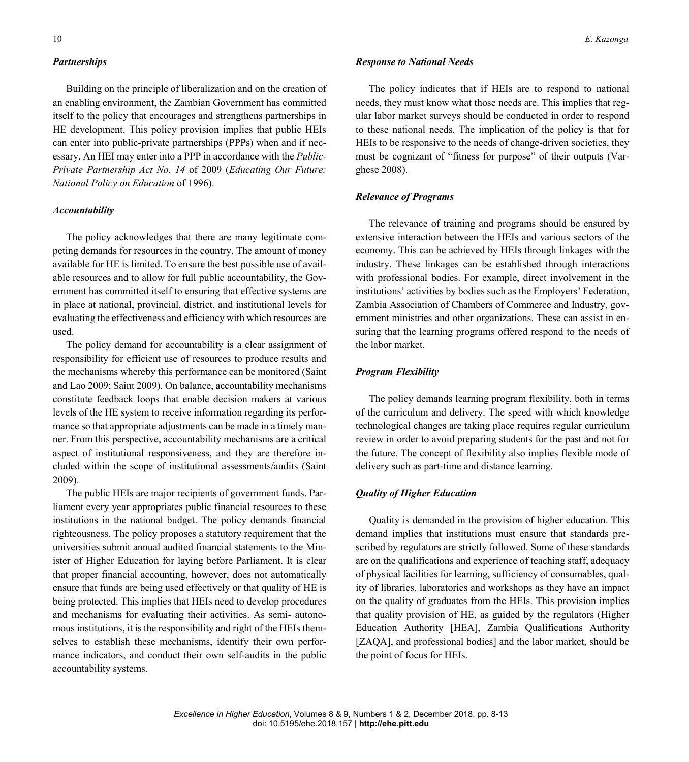#### *Partnerships*

Building on the principle of liberalization and on the creation of an enabling environment, the Zambian Government has committed itself to the policy that encourages and strengthens partnerships in HE development. This policy provision implies that public HEIs can enter into public-private partnerships (PPPs) when and if necessary. An HEI may enter into a PPP in accordance with the *Public-Private Partnership Act No. 14* of 2009 (*Educating Our Future: National Policy on Education* of 1996).

#### *Accountability*

The policy acknowledges that there are many legitimate competing demands for resources in the country. The amount of money available for HE is limited. To ensure the best possible use of available resources and to allow for full public accountability, the Government has committed itself to ensuring that effective systems are in place at national, provincial, district, and institutional levels for evaluating the effectiveness and efficiency with which resources are used.

The policy demand for accountability is a clear assignment of responsibility for efficient use of resources to produce results and the mechanisms whereby this performance can be monitored (Saint and Lao 2009; Saint 2009). On balance, accountability mechanisms constitute feedback loops that enable decision makers at various levels of the HE system to receive information regarding its performance so that appropriate adjustments can be made in a timely manner. From this perspective, accountability mechanisms are a critical aspect of institutional responsiveness, and they are therefore included within the scope of institutional assessments/audits (Saint 2009).

The public HEIs are major recipients of government funds. Parliament every year appropriates public financial resources to these institutions in the national budget. The policy demands financial righteousness. The policy proposes a statutory requirement that the universities submit annual audited financial statements to the Minister of Higher Education for laying before Parliament. It is clear that proper financial accounting, however, does not automatically ensure that funds are being used effectively or that quality of HE is being protected. This implies that HEIs need to develop procedures and mechanisms for evaluating their activities. As semi- autonomous institutions, it is the responsibility and right of the HEIs themselves to establish these mechanisms, identify their own performance indicators, and conduct their own self-audits in the public accountability systems.

#### *Response to National Needs*

The policy indicates that if HEIs are to respond to national needs, they must know what those needs are. This implies that regular labor market surveys should be conducted in order to respond to these national needs. The implication of the policy is that for HEIs to be responsive to the needs of change-driven societies, they must be cognizant of "fitness for purpose" of their outputs (Varghese 2008).

## *Relevance of Programs*

The relevance of training and programs should be ensured by extensive interaction between the HEIs and various sectors of the economy. This can be achieved by HEIs through linkages with the industry. These linkages can be established through interactions with professional bodies. For example, direct involvement in the institutions' activities by bodies such as the Employers' Federation, Zambia Association of Chambers of Commerce and Industry, government ministries and other organizations. These can assist in ensuring that the learning programs offered respond to the needs of the labor market.

#### *Program Flexibility*

The policy demands learning program flexibility, both in terms of the curriculum and delivery. The speed with which knowledge technological changes are taking place requires regular curriculum review in order to avoid preparing students for the past and not for the future. The concept of flexibility also implies flexible mode of delivery such as part-time and distance learning.

## *Quality of Higher Education*

Quality is demanded in the provision of higher education. This demand implies that institutions must ensure that standards prescribed by regulators are strictly followed. Some of these standards are on the qualifications and experience of teaching staff, adequacy of physical facilities for learning, sufficiency of consumables, quality of libraries, laboratories and workshops as they have an impact on the quality of graduates from the HEIs. This provision implies that quality provision of HE, as guided by the regulators (Higher Education Authority [HEA], Zambia Qualifications Authority [ZAQA], and professional bodies] and the labor market, should be the point of focus for HEIs.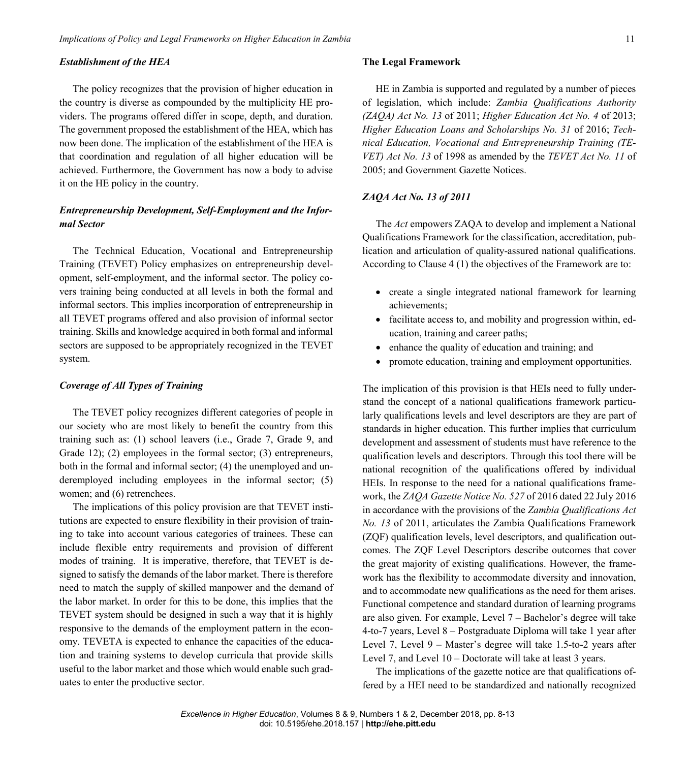#### *Establishment of the HEA*

The policy recognizes that the provision of higher education in the country is diverse as compounded by the multiplicity HE providers. The programs offered differ in scope, depth, and duration. The government proposed the establishment of the HEA, which has now been done. The implication of the establishment of the HEA is that coordination and regulation of all higher education will be achieved. Furthermore, the Government has now a body to advise it on the HE policy in the country.

## *Entrepreneurship Development, Self-Employment and the Informal Sector*

The Technical Education, Vocational and Entrepreneurship Training (TEVET) Policy emphasizes on entrepreneurship development, self-employment, and the informal sector. The policy covers training being conducted at all levels in both the formal and informal sectors. This implies incorporation of entrepreneurship in all TEVET programs offered and also provision of informal sector training. Skills and knowledge acquired in both formal and informal sectors are supposed to be appropriately recognized in the TEVET system.

## *Coverage of All Types of Training*

The TEVET policy recognizes different categories of people in our society who are most likely to benefit the country from this training such as: (1) school leavers (i.e., Grade 7, Grade 9, and Grade 12); (2) employees in the formal sector; (3) entrepreneurs, both in the formal and informal sector; (4) the unemployed and underemployed including employees in the informal sector; (5) women; and (6) retrenchees.

The implications of this policy provision are that TEVET institutions are expected to ensure flexibility in their provision of training to take into account various categories of trainees. These can include flexible entry requirements and provision of different modes of training. It is imperative, therefore, that TEVET is designed to satisfy the demands of the labor market. There is therefore need to match the supply of skilled manpower and the demand of the labor market. In order for this to be done, this implies that the TEVET system should be designed in such a way that it is highly responsive to the demands of the employment pattern in the economy. TEVETA is expected to enhance the capacities of the education and training systems to develop curricula that provide skills useful to the labor market and those which would enable such graduates to enter the productive sector.

## **The Legal Framework**

HE in Zambia is supported and regulated by a number of pieces of legislation, which include: *Zambia Qualifications Authority (ZAQA) Act No. 13* of 2011; *Higher Education Act No. 4* of 2013; *Higher Education Loans and Scholarships No. 31* of 2016; *Technical Education, Vocational and Entrepreneurship Training (TE-VET) Act No. 13* of 1998 as amended by the *TEVET Act No. 11* of 2005; and Government Gazette Notices.

## *ZAQA Act No. 13 of 2011*

The *Act* empowers ZAQA to develop and implement a National Qualifications Framework for the classification, accreditation, publication and articulation of quality-assured national qualifications. According to Clause 4 (1) the objectives of the Framework are to:

- create a single integrated national framework for learning achievements;
- facilitate access to, and mobility and progression within, education, training and career paths;
- enhance the quality of education and training; and
- promote education, training and employment opportunities.

The implication of this provision is that HEIs need to fully understand the concept of a national qualifications framework particularly qualifications levels and level descriptors are they are part of standards in higher education. This further implies that curriculum development and assessment of students must have reference to the qualification levels and descriptors. Through this tool there will be national recognition of the qualifications offered by individual HEIs. In response to the need for a national qualifications framework, the *ZAQA Gazette Notice No. 527* of 2016 dated 22 July 2016 in accordance with the provisions of the *Zambia Qualifications Act No. 13* of 2011, articulates the Zambia Qualifications Framework (ZQF) qualification levels, level descriptors, and qualification outcomes. The ZQF Level Descriptors describe outcomes that cover the great majority of existing qualifications. However, the framework has the flexibility to accommodate diversity and innovation, and to accommodate new qualifications as the need for them arises. Functional competence and standard duration of learning programs are also given. For example, Level 7 – Bachelor's degree will take 4-to-7 years, Level 8 – Postgraduate Diploma will take 1 year after Level 7, Level 9 – Master's degree will take 1.5-to-2 years after Level 7, and Level  $10$  – Doctorate will take at least 3 years.

The implications of the gazette notice are that qualifications offered by a HEI need to be standardized and nationally recognized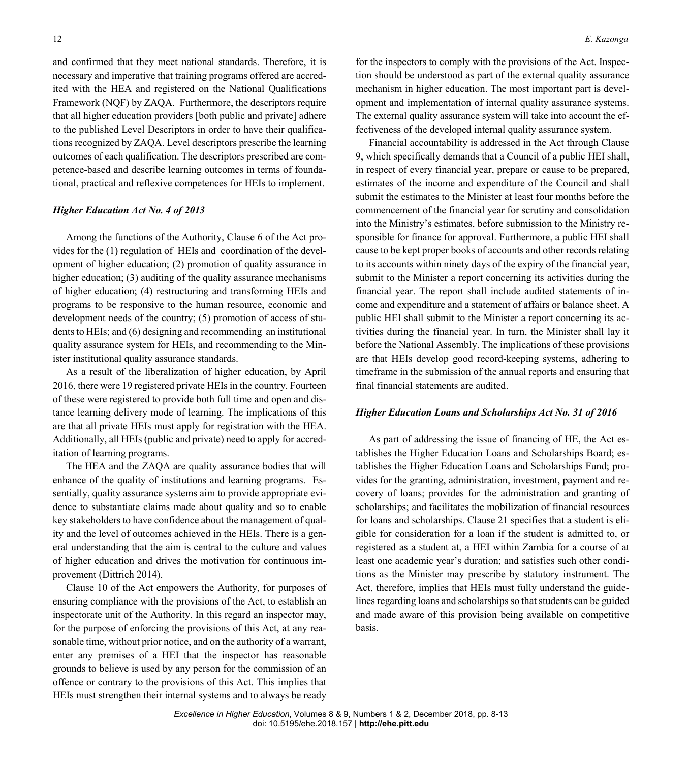and confirmed that they meet national standards. Therefore, it is necessary and imperative that training programs offered are accredited with the HEA and registered on the National Qualifications Framework (NQF) by ZAQA. Furthermore, the descriptors require that all higher education providers [both public and private] adhere to the published Level Descriptors in order to have their qualifications recognized by ZAQA. Level descriptors prescribe the learning outcomes of each qualification. The descriptors prescribed are competence-based and describe learning outcomes in terms of foundational, practical and reflexive competences for HEIs to implement.

#### *Higher Education Act No. 4 of 2013*

Among the functions of the Authority, Clause 6 of the Act provides for the (1) regulation of HEIs and coordination of the development of higher education; (2) promotion of quality assurance in higher education; (3) auditing of the quality assurance mechanisms of higher education; (4) restructuring and transforming HEIs and programs to be responsive to the human resource, economic and development needs of the country; (5) promotion of access of students to HEIs; and (6) designing and recommending an institutional quality assurance system for HEIs, and recommending to the Minister institutional quality assurance standards.

As a result of the liberalization of higher education, by April 2016, there were 19 registered private HEIs in the country. Fourteen of these were registered to provide both full time and open and distance learning delivery mode of learning. The implications of this are that all private HEIs must apply for registration with the HEA. Additionally, all HEIs (public and private) need to apply for accreditation of learning programs.

The HEA and the ZAQA are quality assurance bodies that will enhance of the quality of institutions and learning programs. Essentially, quality assurance systems aim to provide appropriate evidence to substantiate claims made about quality and so to enable key stakeholders to have confidence about the management of quality and the level of outcomes achieved in the HEIs. There is a general understanding that the aim is central to the culture and values of higher education and drives the motivation for continuous improvement (Dittrich 2014).

Clause 10 of the Act empowers the Authority, for purposes of ensuring compliance with the provisions of the Act, to establish an inspectorate unit of the Authority. In this regard an inspector may, for the purpose of enforcing the provisions of this Act, at any reasonable time, without prior notice, and on the authority of a warrant, enter any premises of a HEI that the inspector has reasonable grounds to believe is used by any person for the commission of an offence or contrary to the provisions of this Act. This implies that HEIs must strengthen their internal systems and to always be ready

for the inspectors to comply with the provisions of the Act. Inspection should be understood as part of the external quality assurance mechanism in higher education. The most important part is development and implementation of internal quality assurance systems. The external quality assurance system will take into account the effectiveness of the developed internal quality assurance system.

Financial accountability is addressed in the Act through Clause 9, which specifically demands that a Council of a public HEI shall, in respect of every financial year, prepare or cause to be prepared, estimates of the income and expenditure of the Council and shall submit the estimates to the Minister at least four months before the commencement of the financial year for scrutiny and consolidation into the Ministry's estimates, before submission to the Ministry responsible for finance for approval. Furthermore, a public HEI shall cause to be kept proper books of accounts and other records relating to its accounts within ninety days of the expiry of the financial year, submit to the Minister a report concerning its activities during the financial year. The report shall include audited statements of income and expenditure and a statement of affairs or balance sheet. A public HEI shall submit to the Minister a report concerning its activities during the financial year. In turn, the Minister shall lay it before the National Assembly. The implications of these provisions are that HEIs develop good record-keeping systems, adhering to timeframe in the submission of the annual reports and ensuring that final financial statements are audited.

#### *Higher Education Loans and Scholarships Act No. 31 of 2016*

As part of addressing the issue of financing of HE, the Act establishes the Higher Education Loans and Scholarships Board; establishes the Higher Education Loans and Scholarships Fund; provides for the granting, administration, investment, payment and recovery of loans; provides for the administration and granting of scholarships; and facilitates the mobilization of financial resources for loans and scholarships. Clause 21 specifies that a student is eligible for consideration for a loan if the student is admitted to, or registered as a student at, a HEI within Zambia for a course of at least one academic year's duration; and satisfies such other conditions as the Minister may prescribe by statutory instrument. The Act, therefore, implies that HEIs must fully understand the guidelines regarding loans and scholarships so that students can be guided and made aware of this provision being available on competitive basis.